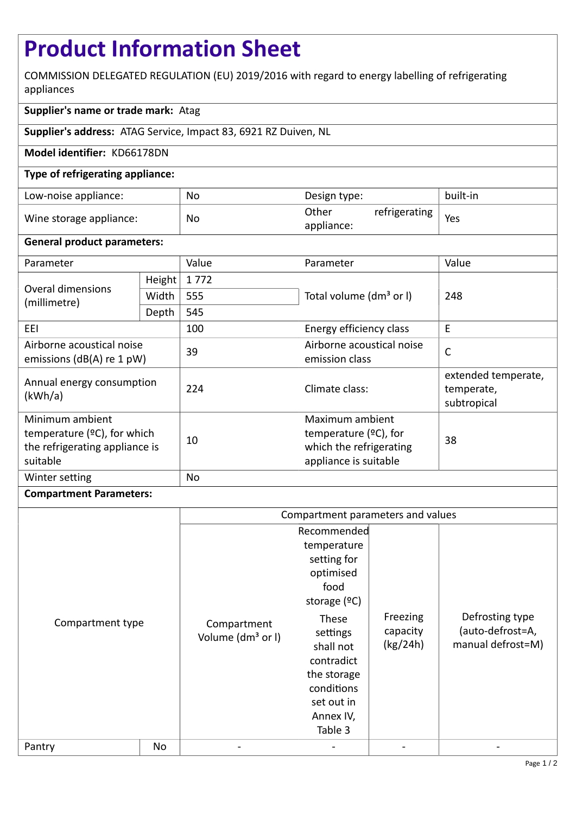# **Product Information Sheet**

COMMISSION DELEGATED REGULATION (EU) 2019/2016 with regard to energy labelling of refrigerating appliances

# **Supplier's name or trade mark:** Atag

**Supplier's address:** ATAG Service, Impact 83, 6921 RZ Duiven, NL

## **Model identifier:** KD66178DN

## **Type of refrigerating appliance:**

| Low-noise appliance:    | No | Design type:                         | built-in |
|-------------------------|----|--------------------------------------|----------|
| Wine storage appliance: | No | Other<br>refrigerating<br>appliance: | Yes      |

## **General product parameters:**

| Parameter                                                                                       |        | Value | Parameter                                                                                       | Value                                            |
|-------------------------------------------------------------------------------------------------|--------|-------|-------------------------------------------------------------------------------------------------|--------------------------------------------------|
| Overal dimensions<br>(millimetre)                                                               | Height | 1772  |                                                                                                 | 248                                              |
|                                                                                                 | Width  | 555   | Total volume (dm <sup>3</sup> or I)                                                             |                                                  |
|                                                                                                 | Depth  | 545   |                                                                                                 |                                                  |
| EEL                                                                                             |        | 100   | Energy efficiency class                                                                         | E                                                |
| Airborne acoustical noise<br>emissions (dB(A) re 1 pW)                                          |        | 39    | Airborne acoustical noise<br>emission class                                                     | $\mathsf{C}$                                     |
| Annual energy consumption<br>(kWh/a)                                                            |        | 224   | Climate class:                                                                                  | extended temperate,<br>temperate,<br>subtropical |
| Minimum ambient<br>temperature $(2C)$ , for which<br>the refrigerating appliance is<br>suitable |        | 10    | Maximum ambient<br>temperature $(2C)$ , for<br>which the refrigerating<br>appliance is suitable | 38                                               |
| Winter setting                                                                                  |        | No    |                                                                                                 |                                                  |

#### **Compartment Parameters:**

|                  |    | Compartment parameters and values            |                                                                                                                                  |                                  |                                                          |
|------------------|----|----------------------------------------------|----------------------------------------------------------------------------------------------------------------------------------|----------------------------------|----------------------------------------------------------|
| Compartment type |    | Compartment<br>Volume (dm <sup>3</sup> or I) | Recommended<br>temperature<br>setting for<br>optimised<br>food<br>storage $(°C)$<br>These<br>settings<br>shall not<br>contradict | Freezing<br>capacity<br>(kg/24h) | Defrosting type<br>(auto-defrost=A,<br>manual defrost=M) |
|                  |    |                                              | the storage<br>conditions<br>set out in<br>Annex IV,<br>Table 3                                                                  |                                  |                                                          |
| Pantry           | No |                                              |                                                                                                                                  |                                  |                                                          |